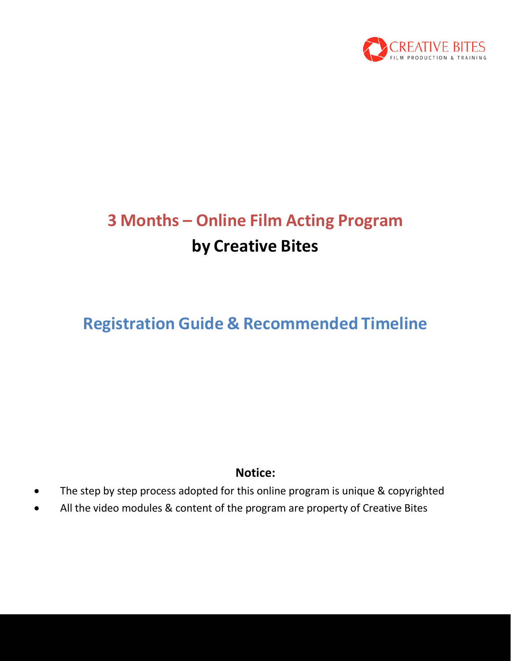

# **3 Months – Online Film Acting Program by Creative Bites**

## **Registration Guide & Recommended Timeline**

### **Notice:**

- The step by step process adopted for this online program is unique & copyrighted
- All the video modules & content of the program are property of Creative Bites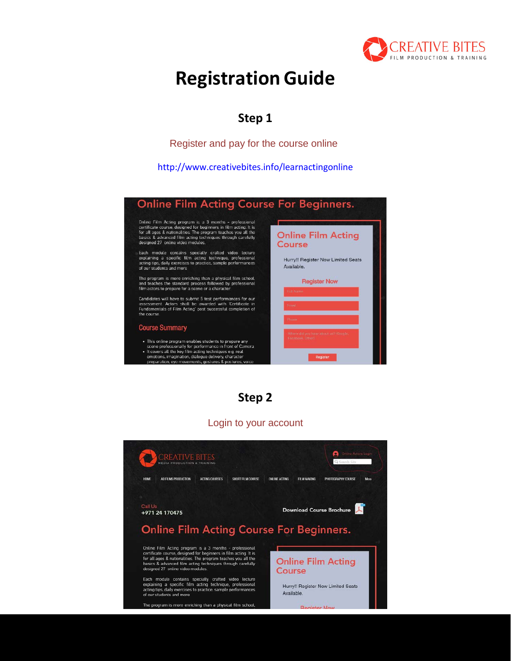

## **RegistrationGuide**

### **Step 1**

Register and pay for the course online

<http://www.creativebites.info/learnactingonline>



**Step 2**

#### Login to your account

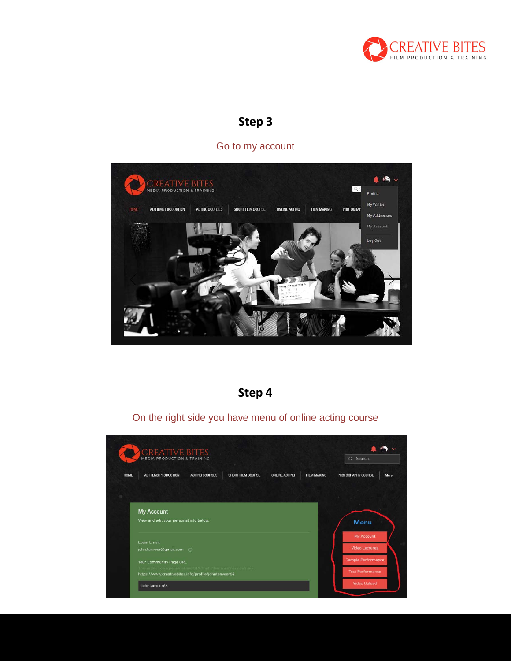

#### Go to my account



## **Step 4**

On the right side you have menu of online acting course

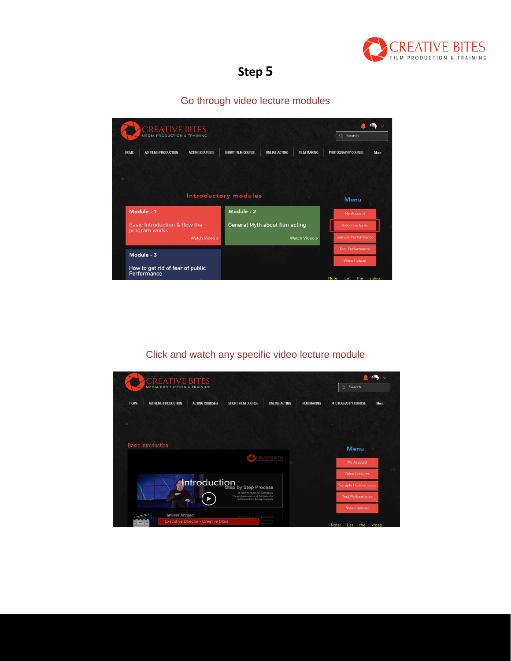

### Go through video lecture modules

| CREATIVE BITES<br><b>MEDIA PRODUCTION &amp; TRAINING</b> |                       |                                |                      |                    | Search.<br>$\alpha$                        |  |
|----------------------------------------------------------|-----------------------|--------------------------------|----------------------|--------------------|--------------------------------------------|--|
| <b>HOME</b><br>AD FILMS PRODUCTION                       | <b>ACTING COURSES</b> | SHORT FILM COURSE              | <b>ONLINE ACTING</b> | <b>FILM MAKING</b> | PHOTOGRAPHY COURSE<br>More                 |  |
|                                                          |                       | Introductory modules           |                      |                    |                                            |  |
| Module - 1                                               |                       | Module - 2                     |                      |                    | <b>Menu</b><br><b>My Account</b>           |  |
| Basic Introduction & How the<br>program works            |                       | General Myth about film acting |                      |                    | <b>Video Lectures</b>                      |  |
|                                                          | Watch Video >         |                                |                      | Watch Video >      | <b>Sample Performance</b>                  |  |
| Module - 3                                               |                       |                                |                      |                    | <b>Test Performance</b>                    |  |
| How to get rid of fear of public<br>Performance          |                       |                                |                      |                    | <b>Video Upload</b><br>Note: Let the video |  |

### Click and watch any specific video lecture module

| <b>CREATIVE BITES</b><br>MEDIA PRODUCTION & TRAINING |                           |                       |                                                                                 |                       | Q Search           |                           |             |
|------------------------------------------------------|---------------------------|-----------------------|---------------------------------------------------------------------------------|-----------------------|--------------------|---------------------------|-------------|
| <b>HOME</b>                                          | AD FILMS PRODUCTION       | <b>ACTING COURSES</b> | <b>SHORT FILM COURSE</b>                                                        | <b>ONLINE ACTING</b>  | <b>FILM MAKING</b> | PHOTOGRAPHY COURSE        | <b>More</b> |
|                                                      |                           |                       |                                                                                 |                       |                    |                           |             |
|                                                      |                           |                       |                                                                                 |                       |                    |                           |             |
|                                                      | <b>Basic Introduction</b> |                       |                                                                                 |                       |                    | <b>Menu</b>               |             |
|                                                      |                           |                       |                                                                                 | <b>GREATIVE BITES</b> |                    | My Account                |             |
|                                                      |                           |                       |                                                                                 |                       |                    | <b>Video Lectures</b>     |             |
|                                                      |                           |                       | Introduction<br>Introduction by Step Process<br>To learn Film Acting Techniques |                       |                    | <b>Sample Performance</b> |             |
|                                                      |                           |                       | The program covers all the basics to<br>Advanced Film Acting concepts           |                       |                    | <b>Test Performance</b>   |             |
|                                                      | <b>Tanveer Ahmed</b>      |                       |                                                                                 |                       |                    | <b>Video Upload</b>       |             |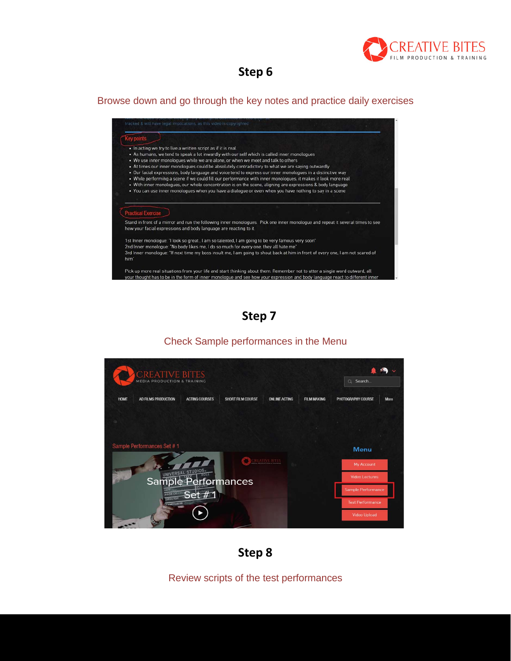

#### Browse down and go through the key notes and practice daily exercises



**Step 7**



#### Check Sample performances in the Menu

**Step 8**

Review scripts of the test performances